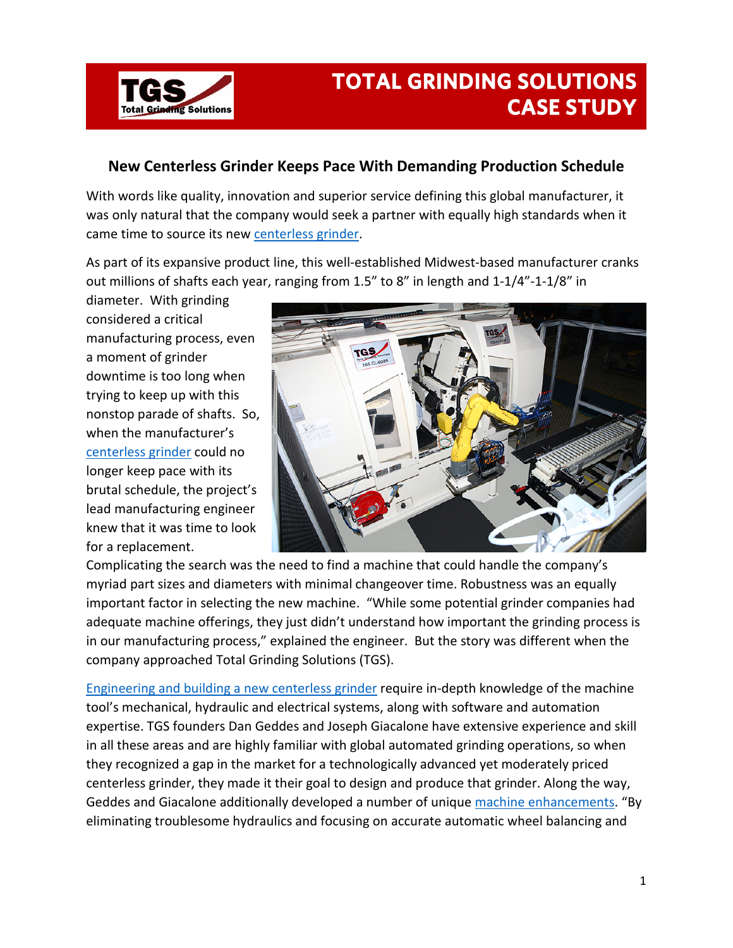

## **TOTAL GRINDING SOLUTIONS CASE STUDY**

## **New Centerless Grinder Keeps Pace With Demanding Production Schedule**

With words like quality, innovation and superior service defining this global manufacturer, it was only natural that the company would seek a partner with equally high standards when it came time to source its new [centerless grinder.](http://www.totalgrindingsolutions.com/machine-overview.html)

As part of its expansive product line, this well-established Midwest-based manufacturer cranks out millions of shafts each year, ranging from 1.5" to 8" in length and 1-1/4"-1-1/8" in

diameter. With grinding considered a critical manufacturing process, even a moment of grinder downtime is too long when trying to keep up with this nonstop parade of shafts. So, when the manufacturer's [centerless grinder](http://www.totalgrindingsolutions.com/machine-overview/machine-specs.html) could no longer keep pace with its brutal schedule, the project's lead manufacturing engineer knew that it was time to look for a replacement.



Complicating the search was the need to find a machine that could handle the company's myriad part sizes and diameters with minimal changeover time. Robustness was an equally important factor in selecting the new machine. "While some potential grinder companies had adequate machine offerings, they just didn't understand how important the grinding process is in our manufacturing process," explained the engineer. But the story was different when the company approached Total Grinding Solutions (TGS).

[Engineering and building a new centerless grinder](http://www.totalgrindingsolutions.com/about-us.html) require in-depth knowledge of the machine tool's mechanical, hydraulic and electrical systems, along with software and automation expertise. TGS founders Dan Geddes and Joseph Giacalone have extensive experience and skill in all these areas and are highly familiar with global automated grinding operations, so when they recognized a gap in the market for a technologically advanced yet moderately priced centerless grinder, they made it their goal to design and produce that grinder. Along the way, Geddes and Giacalone additionally developed a number of uniqu[e machine enhancements.](http://www.totalgrindingsolutions.com/machine-overview.html) "By eliminating troublesome hydraulics and focusing on accurate automatic wheel balancing and